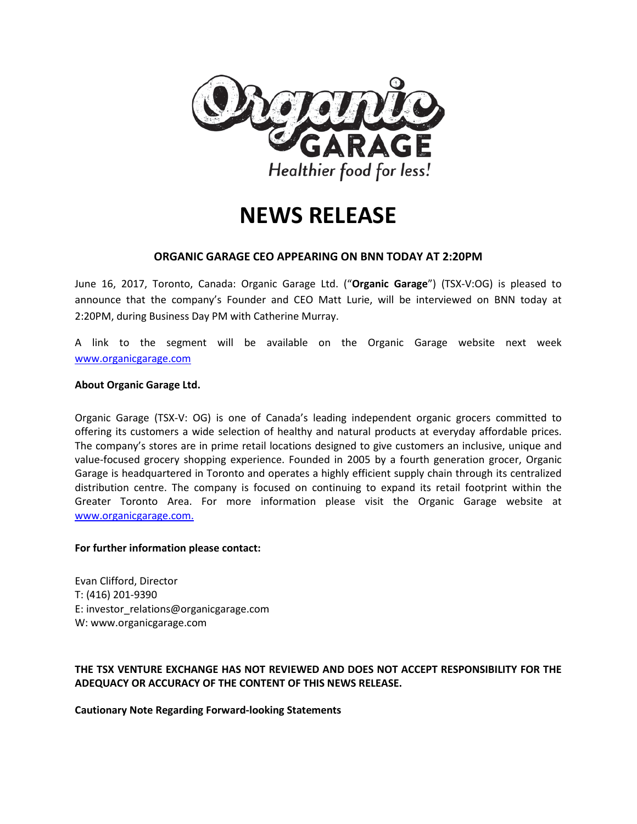

## **NEWS RELEASE**

## **ORGANIC GARAGE CEO APPEARING ON BNN TODAY AT 2:20PM**

June 16, 2017, Toronto, Canada: Organic Garage Ltd. ("**Organic Garage**") (TSX-V:OG) is pleased to announce that the company's Founder and CEO Matt Lurie, will be interviewed on BNN today at 2:20PM, during Business Day PM with Catherine Murray.

A link to the segment will be available on the Organic Garage website next week [www.organicgarage.com](http://www.organicgarage.com/)

## **About Organic Garage Ltd.**

Organic Garage (TSX-V: OG) is one of Canada's leading independent organic grocers committed to offering its customers a wide selection of healthy and natural products at everyday affordable prices. The company's stores are in prime retail locations designed to give customers an inclusive, unique and value-focused grocery shopping experience. Founded in 2005 by a fourth generation grocer, Organic Garage is headquartered in Toronto and operates a highly efficient supply chain through its centralized distribution centre. The company is focused on continuing to expand its retail footprint within the Greater Toronto Area. For more information please visit the Organic Garage website at [www.organicgarage.com.](http://www.organicgarage.com/)

## **For further information please contact:**

Evan Clifford, Director T: (416) 201-9390 E: investor\_relations@organicgarage.com W: www.organicgarage.com

**THE TSX VENTURE EXCHANGE HAS NOT REVIEWED AND DOES NOT ACCEPT RESPONSIBILITY FOR THE ADEQUACY OR ACCURACY OF THE CONTENT OF THIS NEWS RELEASE.** 

**Cautionary Note Regarding Forward-looking Statements**